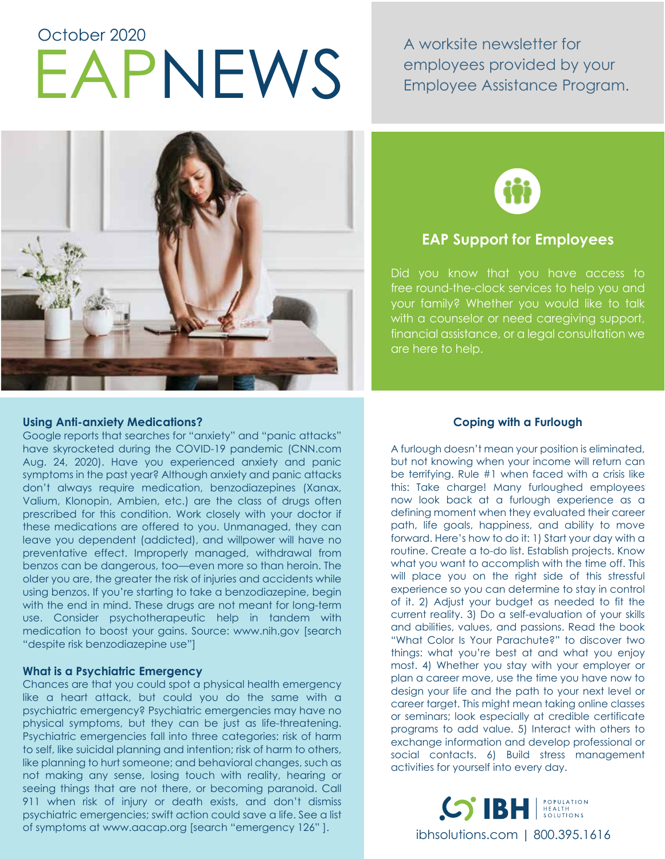# EAPNEWS A worksite newsletter for October 2020

employees provided by your Employee Assistance Program.





## **EAP Support for Employees**

Did you know that you have access to free round-the-clock services to help you and your family? Whether you would like to talk with a counselor or need caregiving support, financial assistance, or a legal consultation we are here to help.

#### **Using Anti-anxiety Medications?**

Google reports that searches for "anxiety" and "panic attacks" have skyrocketed during the COVID-19 pandemic (CNN.com Aug. 24, 2020). Have you experienced anxiety and panic symptoms in the past year? Although anxiety and panic attacks don't always require medication, benzodiazepines (Xanax, Valium, Klonopin, Ambien, etc.) are the class of drugs often prescribed for this condition. Work closely with your doctor if these medications are offered to you. Unmanaged, they can leave you dependent (addicted), and willpower will have no preventative effect. Improperly managed, withdrawal from benzos can be dangerous, too—even more so than heroin. The older you are, the greater the risk of injuries and accidents while using benzos. If you're starting to take a benzodiazepine, begin with the end in mind. These drugs are not meant for long-term use. Consider psychotherapeutic help in tandem with medication to boost your gains. Source: www.nih.gov [search "despite risk benzodiazepine use"]

#### **What is a Psychiatric Emergency**

Chances are that you could spot a physical health emergency like a heart attack, but could you do the same with a psychiatric emergency? Psychiatric emergencies may have no physical symptoms, but they can be just as life-threatening. Psychiatric emergencies fall into three categories: risk of harm to self, like suicidal planning and intention; risk of harm to others, like planning to hurt someone; and behavioral changes, such as not making any sense, losing touch with reality, hearing or seeing things that are not there, or becoming paranoid. Call 911 when risk of injury or death exists, and don't dismiss psychiatric emergencies; swift action could save a life. See a list of symptoms at www.aacap.org [search "emergency 126" ].

#### **Coping with a Furlough**

A furlough doesn't mean your position is eliminated, but not knowing when your income will return can be terrifying. Rule #1 when faced with a crisis like this: Take charge! Many furloughed employees now look back at a furlough experience as a defining moment when they evaluated their career path, life goals, happiness, and ability to move forward. Here's how to do it: 1) Start your day with a routine. Create a to-do list. Establish projects. Know what you want to accomplish with the time off. This will place you on the right side of this stressful experience so you can determine to stay in control of it. 2) Adjust your budget as needed to fit the current reality. 3) Do a self-evaluation of your skills and abilities, values, and passions. Read the book "What Color Is Your Parachute?" to discover two things: what you're best at and what you enjoy most. 4) Whether you stay with your employer or plan a career move, use the time you have now to design your life and the path to your next level or career target. This might mean taking online classes or seminars; look especially at credible certificate programs to add value. 5) Interact with others to exchange information and develop professional or social contacts. 6) Build stress management activities for yourself into every day.